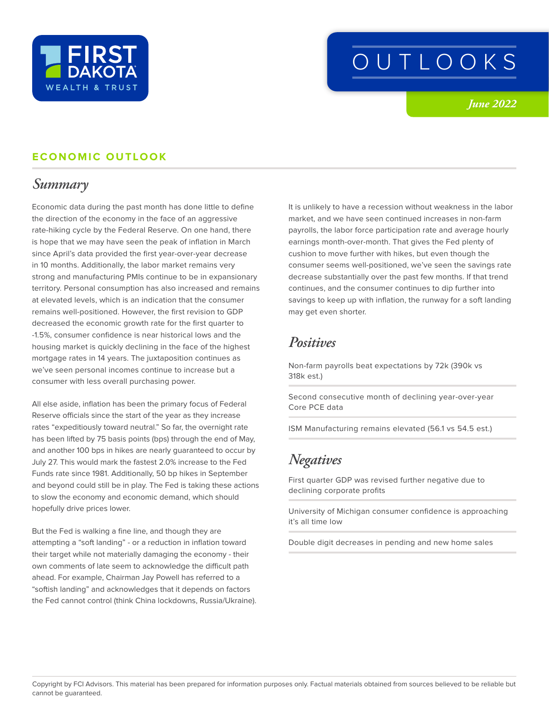

# OUTLOOKS

*June 2022*

#### **ECONOMIC OUTLOOK**

### *Summary*

Economic data during the past month has done little to define the direction of the economy in the face of an aggressive rate-hiking cycle by the Federal Reserve. On one hand, there is hope that we may have seen the peak of inflation in March since April's data provided the first year-over-year decrease in 10 months. Additionally, the labor market remains very strong and manufacturing PMIs continue to be in expansionary territory. Personal consumption has also increased and remains at elevated levels, which is an indication that the consumer remains well-positioned. However, the first revision to GDP decreased the economic growth rate for the first quarter to -1.5%, consumer confidence is near historical lows and the housing market is quickly declining in the face of the highest mortgage rates in 14 years. The juxtaposition continues as we've seen personal incomes continue to increase but a consumer with less overall purchasing power.

All else aside, inflation has been the primary focus of Federal Reserve officials since the start of the year as they increase rates "expeditiously toward neutral." So far, the overnight rate has been lifted by 75 basis points (bps) through the end of May, and another 100 bps in hikes are nearly guaranteed to occur by July 27. This would mark the fastest 2.0% increase to the Fed Funds rate since 1981. Additionally, 50 bp hikes in September and beyond could still be in play. The Fed is taking these actions to slow the economy and economic demand, which should hopefully drive prices lower.

But the Fed is walking a fine line, and though they are attempting a "soft landing" - or a reduction in inflation toward their target while not materially damaging the economy - their own comments of late seem to acknowledge the difficult path ahead. For example, Chairman Jay Powell has referred to a "softish landing" and acknowledges that it depends on factors the Fed cannot control (think China lockdowns, Russia/Ukraine). It is unlikely to have a recession without weakness in the labor market, and we have seen continued increases in non-farm payrolls, the labor force participation rate and average hourly earnings month-over-month. That gives the Fed plenty of cushion to move further with hikes, but even though the consumer seems well-positioned, we've seen the savings rate decrease substantially over the past few months. If that trend continues, and the consumer continues to dip further into savings to keep up with inflation, the runway for a soft landing may get even shorter.

### *Positives*

Non-farm payrolls beat expectations by 72k (390k vs 318k est.)

Second consecutive month of declining year-over-year Core PCE data

ISM Manufacturing remains elevated (56.1 vs 54.5 est.)

# *Negatives*

First quarter GDP was revised further negative due to declining corporate profits

University of Michigan consumer confidence is approaching it's all time low

Double digit decreases in pending and new home sales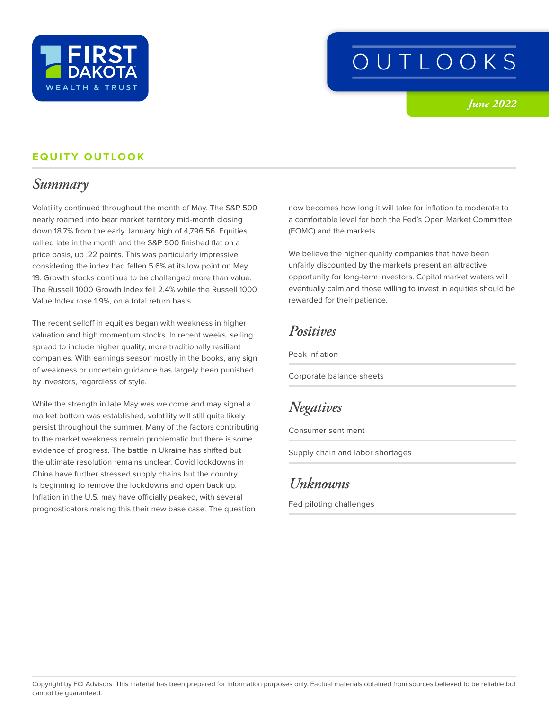

# OUTLOOKS

*June 2022*

#### **EQUITY OUTLOOK**

## *Summary*

Volatility continued throughout the month of May. The S&P 500 nearly roamed into bear market territory mid-month closing down 18.7% from the early January high of 4,796.56. Equities rallied late in the month and the S&P 500 finished flat on a price basis, up .22 points. This was particularly impressive considering the index had fallen 5.6% at its low point on May 19. Growth stocks continue to be challenged more than value. The Russell 1000 Growth Index fell 2.4% while the Russell 1000 Value Index rose 1.9%, on a total return basis.

The recent selloff in equities began with weakness in higher valuation and high momentum stocks. In recent weeks, selling spread to include higher quality, more traditionally resilient companies. With earnings season mostly in the books, any sign of weakness or uncertain guidance has largely been punished by investors, regardless of style.

While the strength in late May was welcome and may signal a market bottom was established, volatility will still quite likely persist throughout the summer. Many of the factors contributing to the market weakness remain problematic but there is some evidence of progress. The battle in Ukraine has shifted but the ultimate resolution remains unclear. Covid lockdowns in China have further stressed supply chains but the country is beginning to remove the lockdowns and open back up. Inflation in the U.S. may have officially peaked, with several prognosticators making this their new base case. The question

now becomes how long it will take for inflation to moderate to a comfortable level for both the Fed's Open Market Committee (FOMC) and the markets.

We believe the higher quality companies that have been unfairly discounted by the markets present an attractive opportunity for long-term investors. Capital market waters will eventually calm and those willing to invest in equities should be rewarded for their patience.

#### *Positives*

Peak inflation

Corporate balance sheets

## *Negatives*

Consumer sentiment

Supply chain and labor shortages

# *Unknowns*

Fed piloting challenges